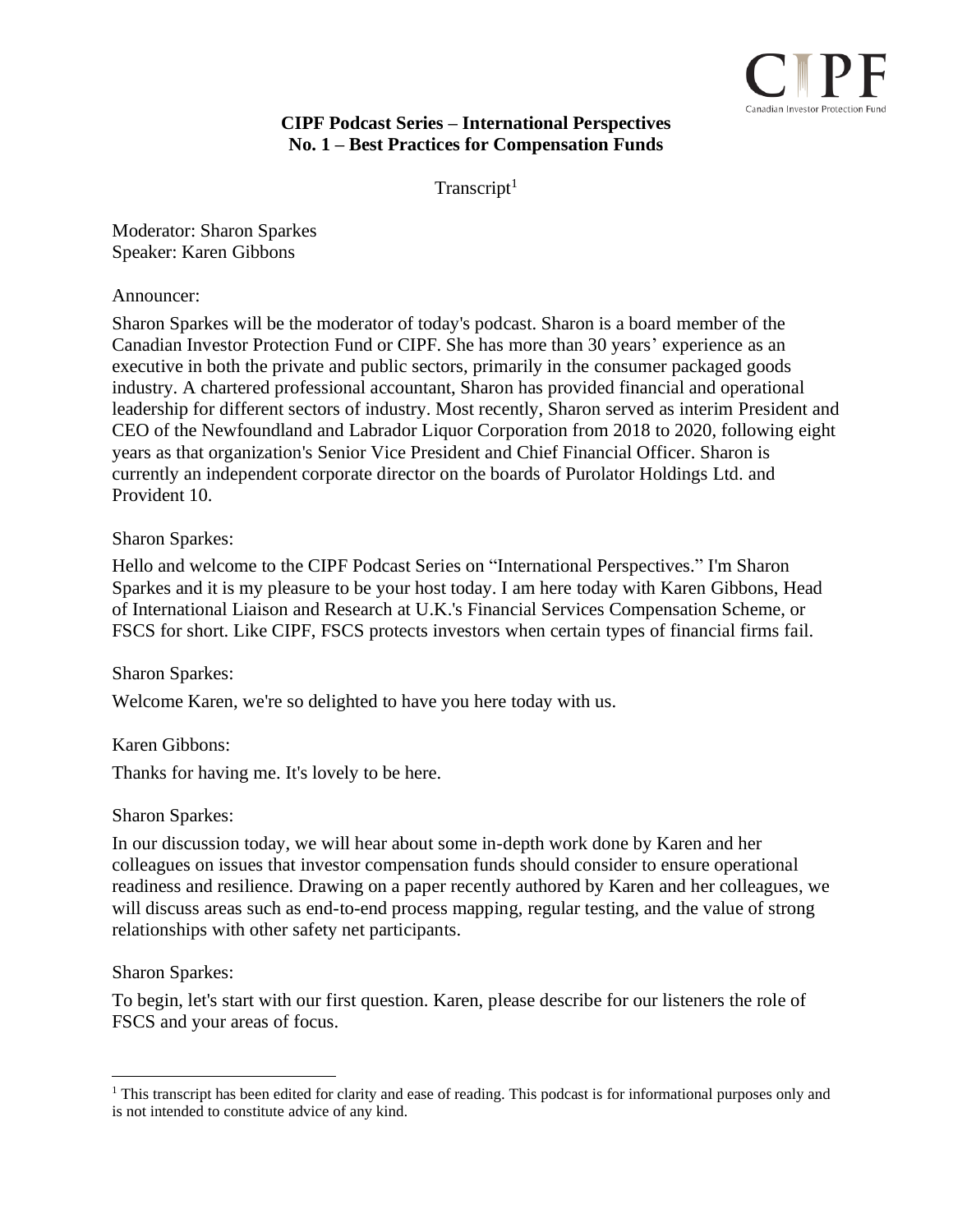

# **CIPF Podcast Series – International Perspectives No. 1 – Best Practices for Compensation Funds**

 $Transcript<sup>1</sup>$ 

Moderator: Sharon Sparkes Speaker: Karen Gibbons

Announcer:

Sharon Sparkes will be the moderator of today's podcast. Sharon is a board member of the Canadian Investor Protection Fund or CIPF. She has more than 30 years' experience as an executive in both the private and public sectors, primarily in the consumer packaged goods industry. A chartered professional accountant, Sharon has provided financial and operational leadership for different sectors of industry. Most recently, Sharon served as interim President and CEO of the Newfoundland and Labrador Liquor Corporation from 2018 to 2020, following eight years as that organization's Senior Vice President and Chief Financial Officer. Sharon is currently an independent corporate director on the boards of Purolator Holdings Ltd. and Provident 10.

## Sharon Sparkes:

Hello and welcome to the CIPF Podcast Series on "International Perspectives." I'm Sharon Sparkes and it is my pleasure to be your host today. I am here today with Karen Gibbons, Head of International Liaison and Research at U.K.'s Financial Services Compensation Scheme, or FSCS for short. Like CIPF, FSCS protects investors when certain types of financial firms fail.

### Sharon Sparkes:

Welcome Karen, we're so delighted to have you here today with us.

Karen Gibbons:

Thanks for having me. It's lovely to be here.

### Sharon Sparkes:

In our discussion today, we will hear about some in-depth work done by Karen and her colleagues on issues that investor compensation funds should consider to ensure operational readiness and resilience. Drawing on a paper recently authored by Karen and her colleagues, we will discuss areas such as end-to-end process mapping, regular testing, and the value of strong relationships with other safety net participants.

### Sharon Sparkes:

To begin, let's start with our first question. Karen, please describe for our listeners the role of FSCS and your areas of focus.

<sup>&</sup>lt;sup>1</sup> This transcript has been edited for clarity and ease of reading. This podcast is for informational purposes only and is not intended to constitute advice of any kind.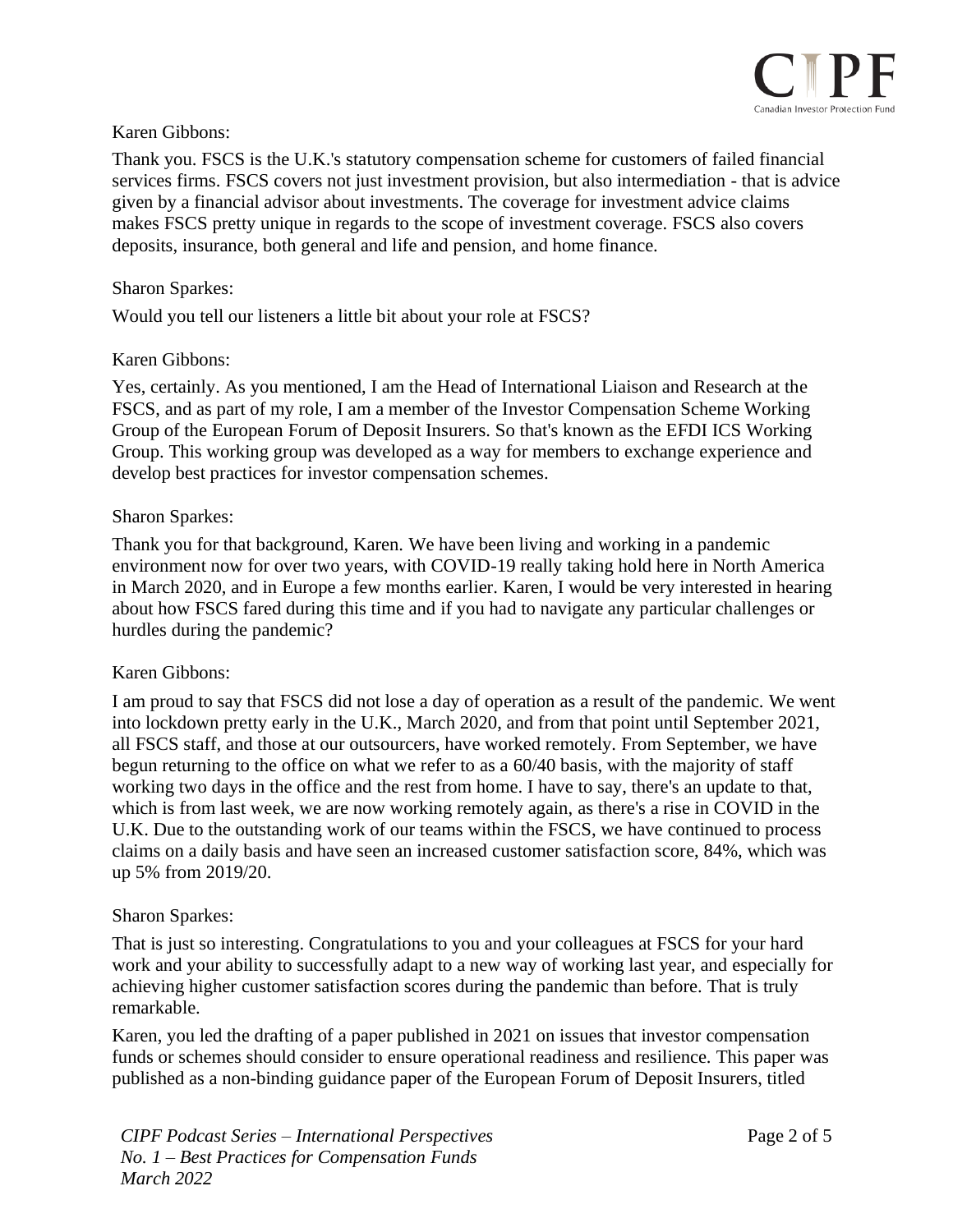

## Karen Gibbons:

Thank you. FSCS is the U.K.'s statutory compensation scheme for customers of failed financial services firms. FSCS covers not just investment provision, but also intermediation - that is advice given by a financial advisor about investments. The coverage for investment advice claims makes FSCS pretty unique in regards to the scope of investment coverage. FSCS also covers deposits, insurance, both general and life and pension, and home finance.

#### Sharon Sparkes:

Would you tell our listeners a little bit about your role at FSCS?

### Karen Gibbons:

Yes, certainly. As you mentioned, I am the Head of International Liaison and Research at the FSCS, and as part of my role, I am a member of the Investor Compensation Scheme Working Group of the European Forum of Deposit Insurers. So that's known as the EFDI ICS Working Group. This working group was developed as a way for members to exchange experience and develop best practices for investor compensation schemes.

#### Sharon Sparkes:

Thank you for that background, Karen. We have been living and working in a pandemic environment now for over two years, with COVID-19 really taking hold here in North America in March 2020, and in Europe a few months earlier. Karen, I would be very interested in hearing about how FSCS fared during this time and if you had to navigate any particular challenges or hurdles during the pandemic?

### Karen Gibbons:

I am proud to say that FSCS did not lose a day of operation as a result of the pandemic. We went into lockdown pretty early in the U.K., March 2020, and from that point until September 2021, all FSCS staff, and those at our outsourcers, have worked remotely. From September, we have begun returning to the office on what we refer to as a 60/40 basis, with the majority of staff working two days in the office and the rest from home. I have to say, there's an update to that, which is from last week, we are now working remotely again, as there's a rise in COVID in the U.K. Due to the outstanding work of our teams within the FSCS, we have continued to process claims on a daily basis and have seen an increased customer satisfaction score, 84%, which was up 5% from 2019/20.

### Sharon Sparkes:

That is just so interesting. Congratulations to you and your colleagues at FSCS for your hard work and your ability to successfully adapt to a new way of working last year, and especially for achieving higher customer satisfaction scores during the pandemic than before. That is truly remarkable.

Karen, you led the drafting of a paper published in 2021 on issues that investor compensation funds or schemes should consider to ensure operational readiness and resilience. This paper was published as a non-binding guidance paper of the European Forum of Deposit Insurers, titled

*CIPF Podcast Series – International Perspectives No. 1 – Best Practices for Compensation Funds March 2022*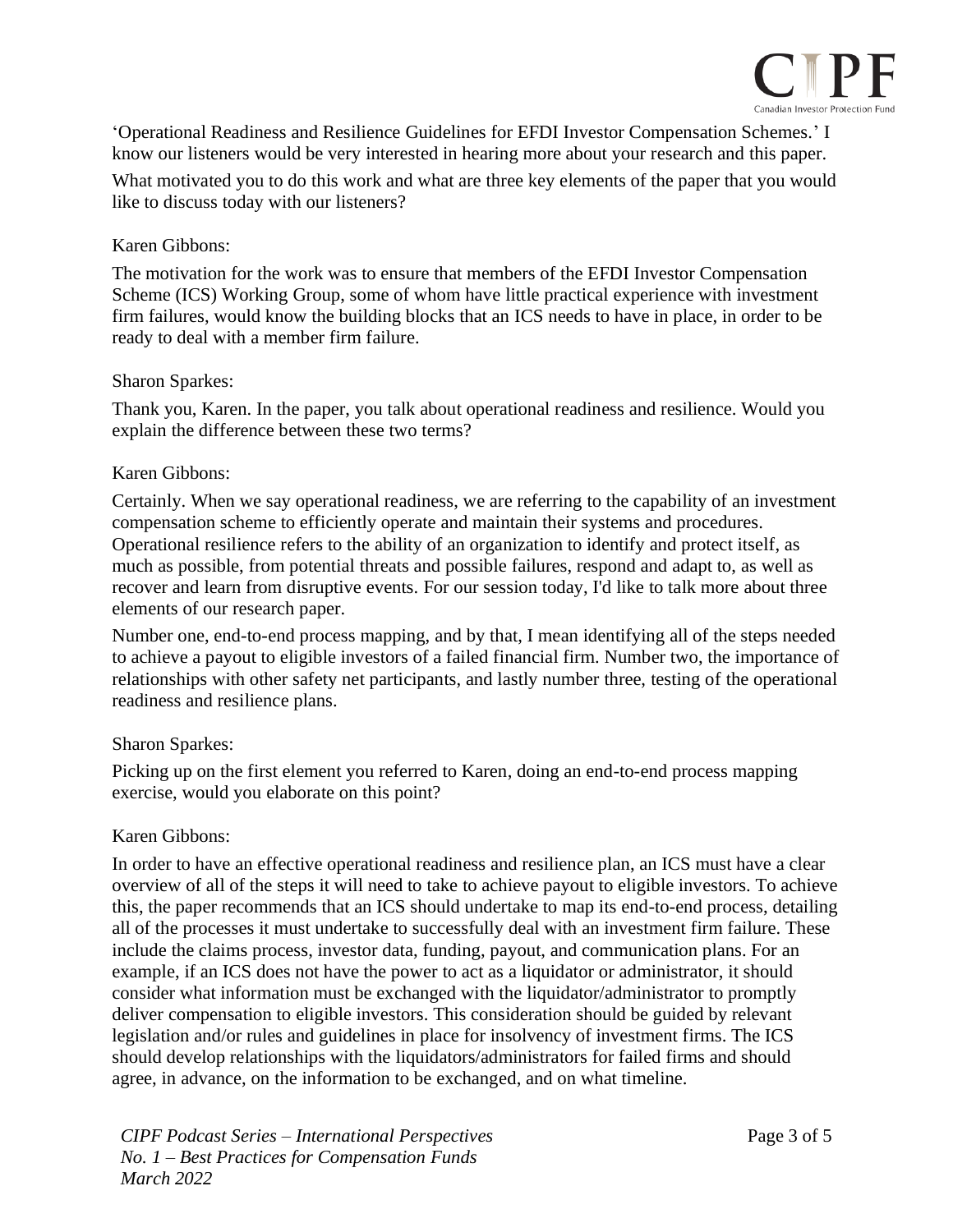

'Operational Readiness and Resilience Guidelines for EFDI Investor Compensation Schemes.' I know our listeners would be very interested in hearing more about your research and this paper. What motivated you to do this work and what are three key elements of the paper that you would like to discuss today with our listeners?

## Karen Gibbons:

The motivation for the work was to ensure that members of the EFDI Investor Compensation Scheme (ICS) Working Group, some of whom have little practical experience with investment firm failures, would know the building blocks that an ICS needs to have in place, in order to be ready to deal with a member firm failure.

### Sharon Sparkes:

Thank you, Karen. In the paper, you talk about operational readiness and resilience. Would you explain the difference between these two terms?

### Karen Gibbons:

Certainly. When we say operational readiness, we are referring to the capability of an investment compensation scheme to efficiently operate and maintain their systems and procedures. Operational resilience refers to the ability of an organization to identify and protect itself, as much as possible, from potential threats and possible failures, respond and adapt to, as well as recover and learn from disruptive events. For our session today, I'd like to talk more about three elements of our research paper.

Number one, end-to-end process mapping, and by that, I mean identifying all of the steps needed to achieve a payout to eligible investors of a failed financial firm. Number two, the importance of relationships with other safety net participants, and lastly number three, testing of the operational readiness and resilience plans.

### Sharon Sparkes:

Picking up on the first element you referred to Karen, doing an end-to-end process mapping exercise, would you elaborate on this point?

### Karen Gibbons:

In order to have an effective operational readiness and resilience plan, an ICS must have a clear overview of all of the steps it will need to take to achieve payout to eligible investors. To achieve this, the paper recommends that an ICS should undertake to map its end-to-end process, detailing all of the processes it must undertake to successfully deal with an investment firm failure. These include the claims process, investor data, funding, payout, and communication plans. For an example, if an ICS does not have the power to act as a liquidator or administrator, it should consider what information must be exchanged with the liquidator/administrator to promptly deliver compensation to eligible investors. This consideration should be guided by relevant legislation and/or rules and guidelines in place for insolvency of investment firms. The ICS should develop relationships with the liquidators/administrators for failed firms and should agree, in advance, on the information to be exchanged, and on what timeline.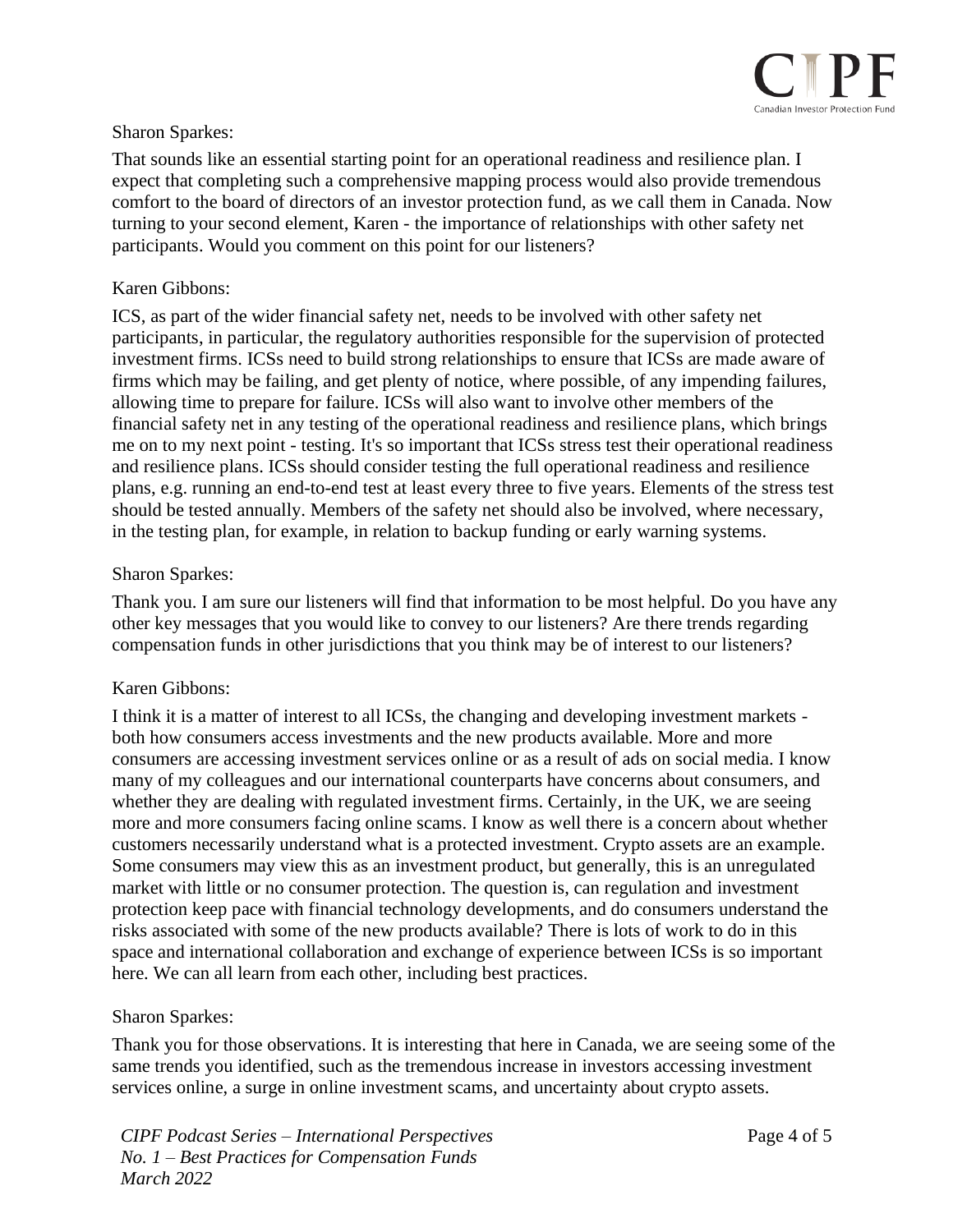

## Sharon Sparkes:

That sounds like an essential starting point for an operational readiness and resilience plan. I expect that completing such a comprehensive mapping process would also provide tremendous comfort to the board of directors of an investor protection fund, as we call them in Canada. Now turning to your second element, Karen - the importance of relationships with other safety net participants. Would you comment on this point for our listeners?

### Karen Gibbons:

ICS, as part of the wider financial safety net, needs to be involved with other safety net participants, in particular, the regulatory authorities responsible for the supervision of protected investment firms. ICSs need to build strong relationships to ensure that ICSs are made aware of firms which may be failing, and get plenty of notice, where possible, of any impending failures, allowing time to prepare for failure. ICSs will also want to involve other members of the financial safety net in any testing of the operational readiness and resilience plans, which brings me on to my next point - testing. It's so important that ICSs stress test their operational readiness and resilience plans. ICSs should consider testing the full operational readiness and resilience plans, e.g. running an end-to-end test at least every three to five years. Elements of the stress test should be tested annually. Members of the safety net should also be involved, where necessary, in the testing plan, for example, in relation to backup funding or early warning systems.

### Sharon Sparkes:

Thank you. I am sure our listeners will find that information to be most helpful. Do you have any other key messages that you would like to convey to our listeners? Are there trends regarding compensation funds in other jurisdictions that you think may be of interest to our listeners?

### Karen Gibbons:

I think it is a matter of interest to all ICSs, the changing and developing investment markets both how consumers access investments and the new products available. More and more consumers are accessing investment services online or as a result of ads on social media. I know many of my colleagues and our international counterparts have concerns about consumers, and whether they are dealing with regulated investment firms. Certainly, in the UK, we are seeing more and more consumers facing online scams. I know as well there is a concern about whether customers necessarily understand what is a protected investment. Crypto assets are an example. Some consumers may view this as an investment product, but generally, this is an unregulated market with little or no consumer protection. The question is, can regulation and investment protection keep pace with financial technology developments, and do consumers understand the risks associated with some of the new products available? There is lots of work to do in this space and international collaboration and exchange of experience between ICSs is so important here. We can all learn from each other, including best practices.

### Sharon Sparkes:

Thank you for those observations. It is interesting that here in Canada, we are seeing some of the same trends you identified, such as the tremendous increase in investors accessing investment services online, a surge in online investment scams, and uncertainty about crypto assets.

*CIPF Podcast Series – International Perspectives No. 1 – Best Practices for Compensation Funds March 2022*